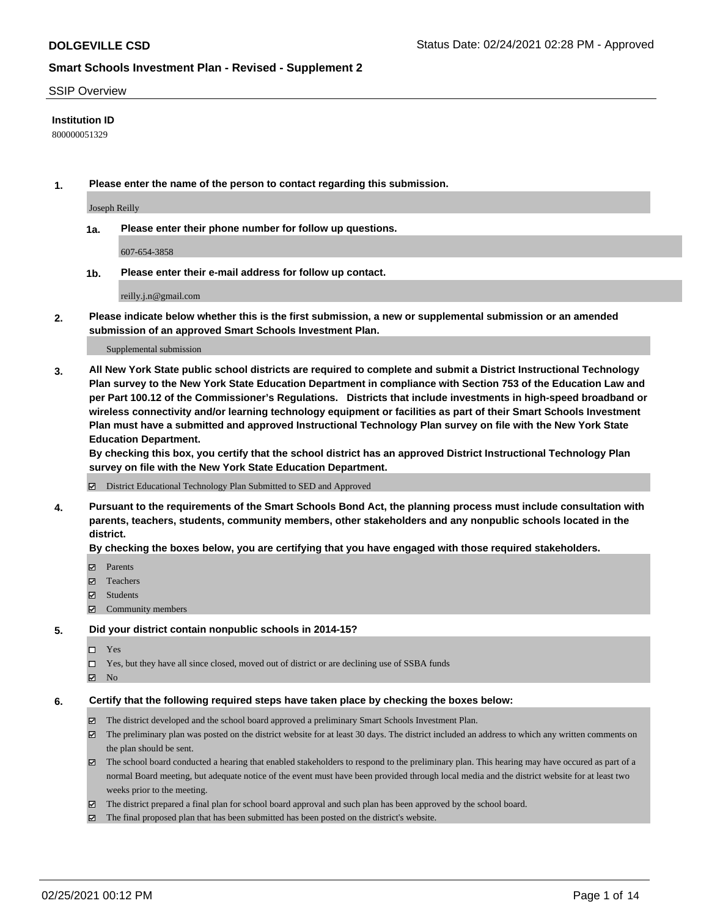### SSIP Overview

### **Institution ID**

800000051329

**1. Please enter the name of the person to contact regarding this submission.**

Joseph Reilly

**1a. Please enter their phone number for follow up questions.**

607-654-3858

**1b. Please enter their e-mail address for follow up contact.**

reilly.j.n@gmail.com

**2. Please indicate below whether this is the first submission, a new or supplemental submission or an amended submission of an approved Smart Schools Investment Plan.**

#### Supplemental submission

**3. All New York State public school districts are required to complete and submit a District Instructional Technology Plan survey to the New York State Education Department in compliance with Section 753 of the Education Law and per Part 100.12 of the Commissioner's Regulations. Districts that include investments in high-speed broadband or wireless connectivity and/or learning technology equipment or facilities as part of their Smart Schools Investment Plan must have a submitted and approved Instructional Technology Plan survey on file with the New York State Education Department.** 

**By checking this box, you certify that the school district has an approved District Instructional Technology Plan survey on file with the New York State Education Department.**

District Educational Technology Plan Submitted to SED and Approved

**4. Pursuant to the requirements of the Smart Schools Bond Act, the planning process must include consultation with parents, teachers, students, community members, other stakeholders and any nonpublic schools located in the district.** 

### **By checking the boxes below, you are certifying that you have engaged with those required stakeholders.**

- **Ø** Parents
- Teachers
- Students
- Community members

### **5. Did your district contain nonpublic schools in 2014-15?**

- □ Yes
- □ Yes, but they have all since closed, moved out of district or are declining use of SSBA funds
- **Ø** No

### **6. Certify that the following required steps have taken place by checking the boxes below:**

- The district developed and the school board approved a preliminary Smart Schools Investment Plan.
- The preliminary plan was posted on the district website for at least 30 days. The district included an address to which any written comments on the plan should be sent.
- The school board conducted a hearing that enabled stakeholders to respond to the preliminary plan. This hearing may have occured as part of a normal Board meeting, but adequate notice of the event must have been provided through local media and the district website for at least two weeks prior to the meeting.
- The district prepared a final plan for school board approval and such plan has been approved by the school board.
- $\boxtimes$  The final proposed plan that has been submitted has been posted on the district's website.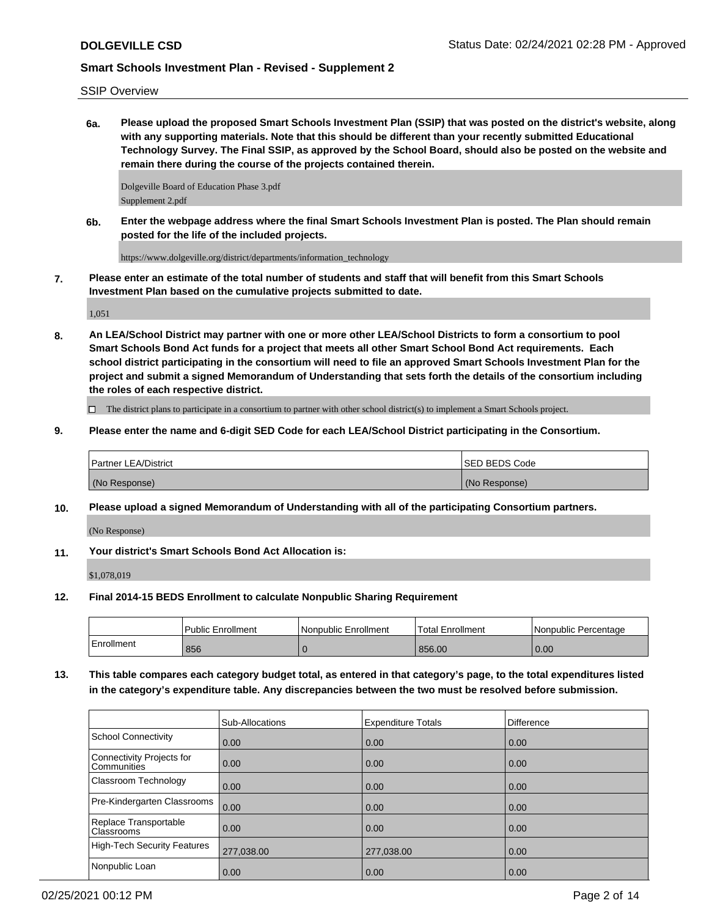### SSIP Overview

**6a. Please upload the proposed Smart Schools Investment Plan (SSIP) that was posted on the district's website, along with any supporting materials. Note that this should be different than your recently submitted Educational Technology Survey. The Final SSIP, as approved by the School Board, should also be posted on the website and remain there during the course of the projects contained therein.**

Dolgeville Board of Education Phase 3.pdf Supplement 2.pdf

**6b. Enter the webpage address where the final Smart Schools Investment Plan is posted. The Plan should remain posted for the life of the included projects.**

https://www.dolgeville.org/district/departments/information\_technology

**7. Please enter an estimate of the total number of students and staff that will benefit from this Smart Schools Investment Plan based on the cumulative projects submitted to date.**

1,051

**8. An LEA/School District may partner with one or more other LEA/School Districts to form a consortium to pool Smart Schools Bond Act funds for a project that meets all other Smart School Bond Act requirements. Each school district participating in the consortium will need to file an approved Smart Schools Investment Plan for the project and submit a signed Memorandum of Understanding that sets forth the details of the consortium including the roles of each respective district.**

 $\Box$  The district plans to participate in a consortium to partner with other school district(s) to implement a Smart Schools project.

**9. Please enter the name and 6-digit SED Code for each LEA/School District participating in the Consortium.**

| <b>Partner LEA/District</b> | <b>ISED BEDS Code</b> |
|-----------------------------|-----------------------|
| (No Response)               | (No Response)         |

**10. Please upload a signed Memorandum of Understanding with all of the participating Consortium partners.**

(No Response)

**11. Your district's Smart Schools Bond Act Allocation is:**

\$1,078,019

**12. Final 2014-15 BEDS Enrollment to calculate Nonpublic Sharing Requirement**

|            | Public Enrollment | Nonpublic Enrollment | <b>Total Enrollment</b> | l Nonpublic Percentage |
|------------|-------------------|----------------------|-------------------------|------------------------|
| Enrollment | 856               |                      | 856.00                  | 0.00                   |

**13. This table compares each category budget total, as entered in that category's page, to the total expenditures listed in the category's expenditure table. Any discrepancies between the two must be resolved before submission.**

|                                                 | <b>Sub-Allocations</b> | <b>Expenditure Totals</b> | <b>Difference</b> |
|-------------------------------------------------|------------------------|---------------------------|-------------------|
| School Connectivity                             | 0.00                   | 0.00                      | 0.00              |
| Connectivity Projects for<br><b>Communities</b> | 0.00                   | 0.00                      | 0.00              |
| <b>Classroom Technology</b>                     | $\overline{0.00}$      | 0.00                      | 0.00              |
| Pre-Kindergarten Classrooms                     | 0.00                   | 0.00                      | 0.00              |
| Replace Transportable<br><b>Classrooms</b>      | $\overline{0.00}$      | 0.00                      | 0.00              |
| High-Tech Security Features                     | 277,038.00             | 277,038.00                | 0.00              |
| Nonpublic Loan                                  | 0.00                   | 0.00                      | 0.00              |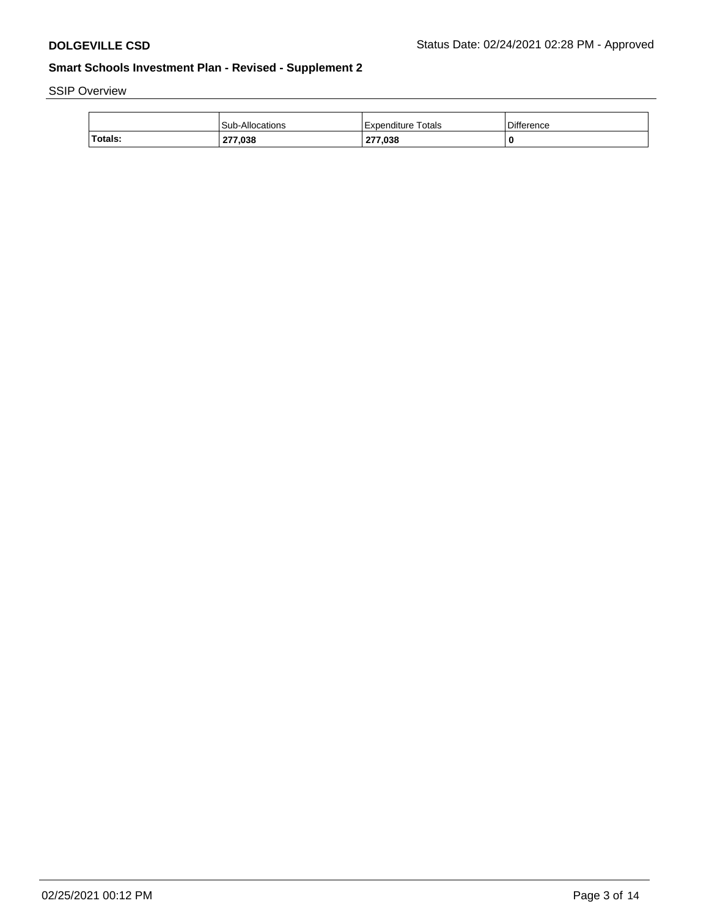# SSIP Overview

|         | <b>Sub-Allocations</b> | Totals<br>Expenditure | Difference |
|---------|------------------------|-----------------------|------------|
| Totals: | 277,038                | 277,038               | 0          |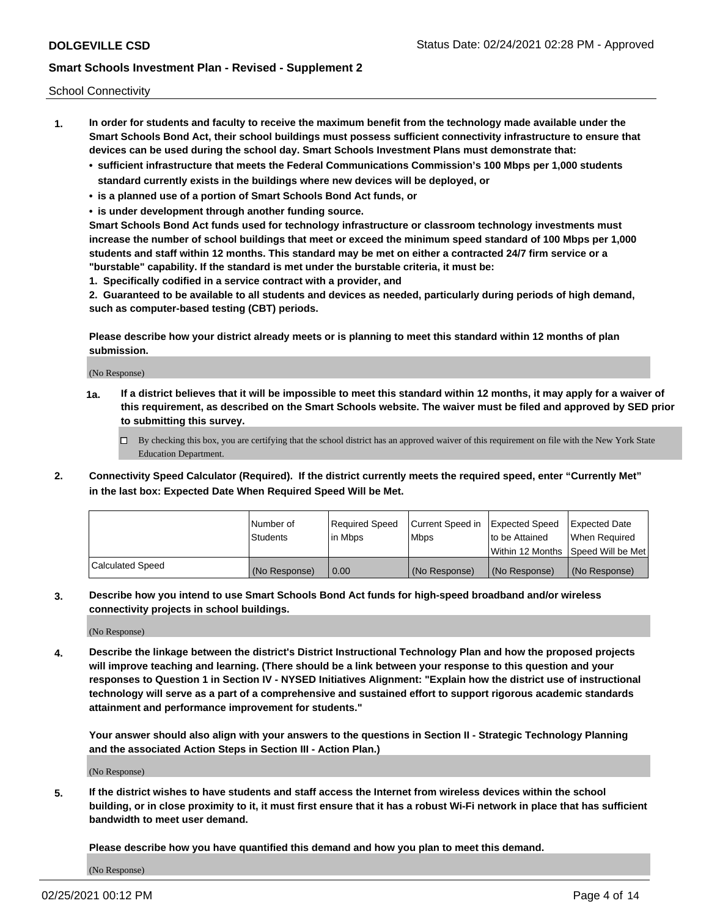School Connectivity

- **1. In order for students and faculty to receive the maximum benefit from the technology made available under the Smart Schools Bond Act, their school buildings must possess sufficient connectivity infrastructure to ensure that devices can be used during the school day. Smart Schools Investment Plans must demonstrate that:**
	- **• sufficient infrastructure that meets the Federal Communications Commission's 100 Mbps per 1,000 students standard currently exists in the buildings where new devices will be deployed, or**
	- **• is a planned use of a portion of Smart Schools Bond Act funds, or**
	- **• is under development through another funding source.**

**Smart Schools Bond Act funds used for technology infrastructure or classroom technology investments must increase the number of school buildings that meet or exceed the minimum speed standard of 100 Mbps per 1,000 students and staff within 12 months. This standard may be met on either a contracted 24/7 firm service or a "burstable" capability. If the standard is met under the burstable criteria, it must be:**

**1. Specifically codified in a service contract with a provider, and**

**2. Guaranteed to be available to all students and devices as needed, particularly during periods of high demand, such as computer-based testing (CBT) periods.**

**Please describe how your district already meets or is planning to meet this standard within 12 months of plan submission.**

(No Response)

**1a. If a district believes that it will be impossible to meet this standard within 12 months, it may apply for a waiver of this requirement, as described on the Smart Schools website. The waiver must be filed and approved by SED prior to submitting this survey.**

 $\Box$  By checking this box, you are certifying that the school district has an approved waiver of this requirement on file with the New York State Education Department.

**2. Connectivity Speed Calculator (Required). If the district currently meets the required speed, enter "Currently Met" in the last box: Expected Date When Required Speed Will be Met.**

|                  | l Number of     | Required Speed | Current Speed in | Expected Speed  | Expected Date                           |
|------------------|-----------------|----------------|------------------|-----------------|-----------------------------------------|
|                  | <b>Students</b> | In Mbps        | l Mbps           | to be Attained  | When Required                           |
|                  |                 |                |                  |                 | l Within 12 Months ISpeed Will be Met l |
| Calculated Speed | (No Response)   | 0.00           | (No Response)    | l (No Response) | l (No Response)                         |

**3. Describe how you intend to use Smart Schools Bond Act funds for high-speed broadband and/or wireless connectivity projects in school buildings.**

(No Response)

**4. Describe the linkage between the district's District Instructional Technology Plan and how the proposed projects will improve teaching and learning. (There should be a link between your response to this question and your responses to Question 1 in Section IV - NYSED Initiatives Alignment: "Explain how the district use of instructional technology will serve as a part of a comprehensive and sustained effort to support rigorous academic standards attainment and performance improvement for students."** 

**Your answer should also align with your answers to the questions in Section II - Strategic Technology Planning and the associated Action Steps in Section III - Action Plan.)**

(No Response)

**5. If the district wishes to have students and staff access the Internet from wireless devices within the school building, or in close proximity to it, it must first ensure that it has a robust Wi-Fi network in place that has sufficient bandwidth to meet user demand.**

**Please describe how you have quantified this demand and how you plan to meet this demand.**

(No Response)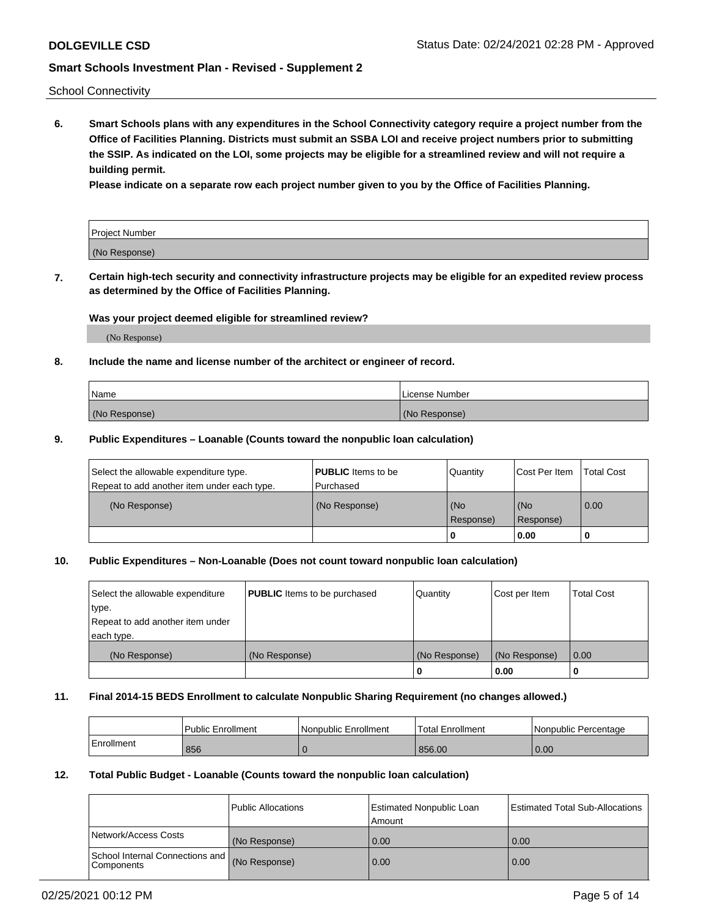School Connectivity

**6. Smart Schools plans with any expenditures in the School Connectivity category require a project number from the Office of Facilities Planning. Districts must submit an SSBA LOI and receive project numbers prior to submitting the SSIP. As indicated on the LOI, some projects may be eligible for a streamlined review and will not require a building permit.**

**Please indicate on a separate row each project number given to you by the Office of Facilities Planning.**

| Project Number |  |
|----------------|--|
| (No Response)  |  |

**7. Certain high-tech security and connectivity infrastructure projects may be eligible for an expedited review process as determined by the Office of Facilities Planning.**

### **Was your project deemed eligible for streamlined review?**

(No Response)

### **8. Include the name and license number of the architect or engineer of record.**

| Name          | License Number |
|---------------|----------------|
| (No Response) | (No Response)  |

### **9. Public Expenditures – Loanable (Counts toward the nonpublic loan calculation)**

| Select the allowable expenditure type.<br>Repeat to add another item under each type. | <b>PUBLIC</b> Items to be<br>l Purchased | Quantity           | Cost Per Item    | <b>Total Cost</b> |
|---------------------------------------------------------------------------------------|------------------------------------------|--------------------|------------------|-------------------|
| (No Response)                                                                         | (No Response)                            | l (No<br>Response) | (No<br>Response) | $\overline{0.00}$ |
|                                                                                       |                                          | 0                  | 0.00             |                   |

## **10. Public Expenditures – Non-Loanable (Does not count toward nonpublic loan calculation)**

| Select the allowable expenditure<br>type.<br>Repeat to add another item under<br>each type. | <b>PUBLIC</b> Items to be purchased | Quantity      | Cost per Item | <b>Total Cost</b> |
|---------------------------------------------------------------------------------------------|-------------------------------------|---------------|---------------|-------------------|
| (No Response)                                                                               | (No Response)                       | (No Response) | (No Response) | 0.00              |
|                                                                                             |                                     |               | 0.00          |                   |

### **11. Final 2014-15 BEDS Enrollment to calculate Nonpublic Sharing Requirement (no changes allowed.)**

|            | Public Enrollment | l Nonpublic Enrollment | <b>Total Enrollment</b> | Nonpublic Percentage |
|------------|-------------------|------------------------|-------------------------|----------------------|
| Enrollment | 856               |                        | 856.00                  | 0.00                 |

### **12. Total Public Budget - Loanable (Counts toward the nonpublic loan calculation)**

|                                               | Public Allocations | <b>Estimated Nonpublic Loan</b><br>Amount | Estimated Total Sub-Allocations |
|-----------------------------------------------|--------------------|-------------------------------------------|---------------------------------|
| Network/Access Costs                          | (No Response)      | 0.00                                      | 0.00                            |
| School Internal Connections and<br>Components | (No Response)      | 0.00                                      | 0.00                            |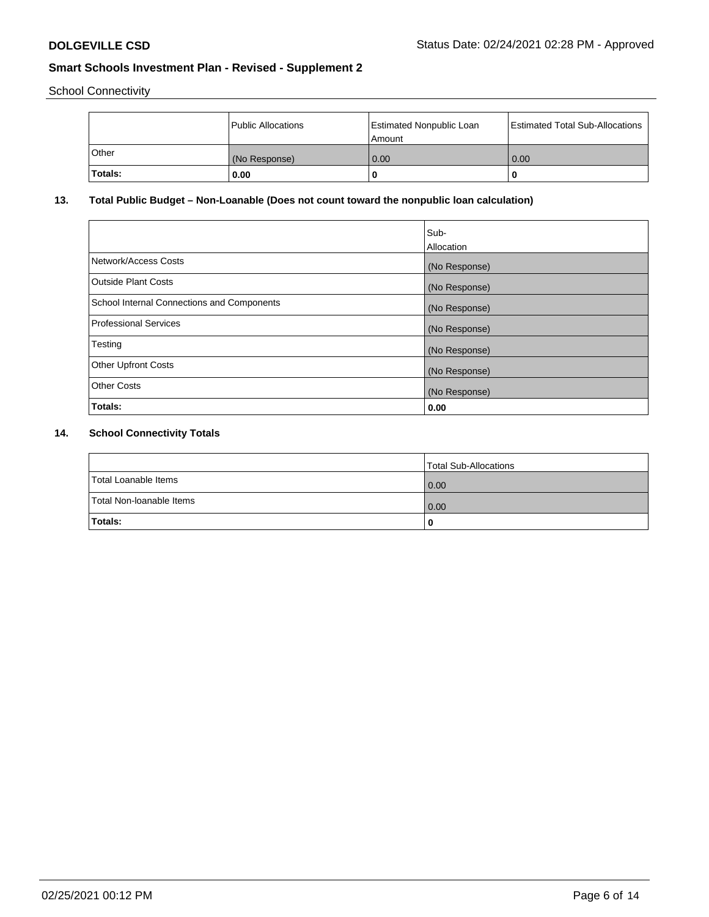School Connectivity

|         | Public Allocations | <b>Estimated Nonpublic Loan</b><br>l Amount | <b>Estimated Total Sub-Allocations</b> |
|---------|--------------------|---------------------------------------------|----------------------------------------|
| l Other | (No Response)      | 0.00                                        | 0.00                                   |
| Totals: | 0.00               | 0                                           |                                        |

## **13. Total Public Budget – Non-Loanable (Does not count toward the nonpublic loan calculation)**

|                                                   | Sub-<br>Allocation |
|---------------------------------------------------|--------------------|
| Network/Access Costs                              | (No Response)      |
| Outside Plant Costs                               | (No Response)      |
| <b>School Internal Connections and Components</b> | (No Response)      |
| Professional Services                             | (No Response)      |
| Testing                                           | (No Response)      |
| <b>Other Upfront Costs</b>                        | (No Response)      |
| <b>Other Costs</b>                                | (No Response)      |
| Totals:                                           | 0.00               |

## **14. School Connectivity Totals**

|                          | Total Sub-Allocations |
|--------------------------|-----------------------|
| Total Loanable Items     | $\overline{0.00}$     |
| Total Non-Ioanable Items | $\overline{0.00}$     |
| Totals:                  |                       |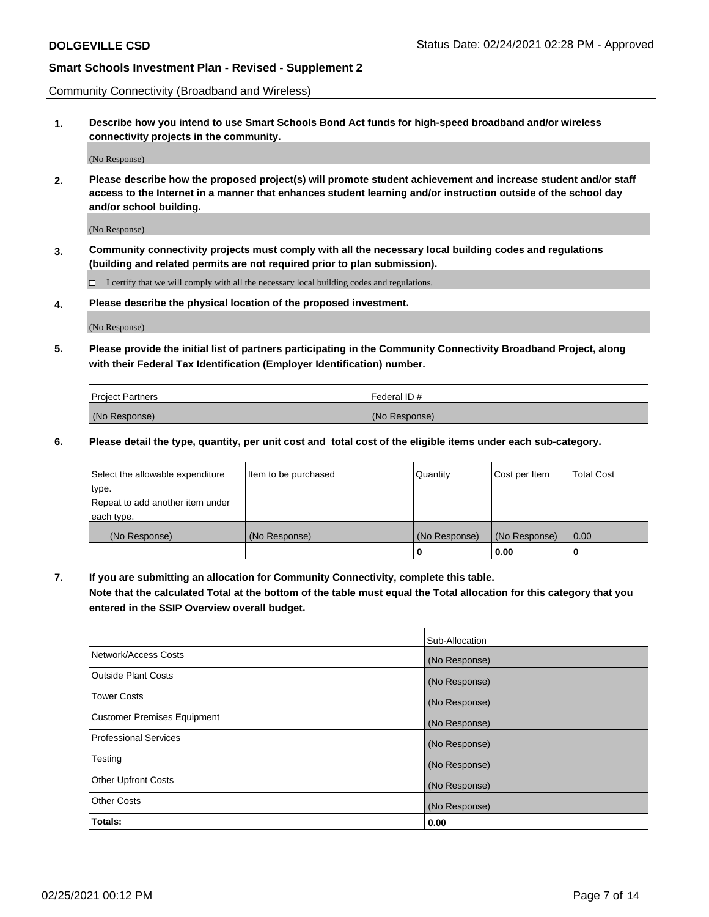Community Connectivity (Broadband and Wireless)

**1. Describe how you intend to use Smart Schools Bond Act funds for high-speed broadband and/or wireless connectivity projects in the community.**

(No Response)

**2. Please describe how the proposed project(s) will promote student achievement and increase student and/or staff access to the Internet in a manner that enhances student learning and/or instruction outside of the school day and/or school building.**

(No Response)

**3. Community connectivity projects must comply with all the necessary local building codes and regulations (building and related permits are not required prior to plan submission).**

 $\Box$  I certify that we will comply with all the necessary local building codes and regulations.

**4. Please describe the physical location of the proposed investment.**

(No Response)

**5. Please provide the initial list of partners participating in the Community Connectivity Broadband Project, along with their Federal Tax Identification (Employer Identification) number.**

| <b>Project Partners</b> | l Federal ID # |
|-------------------------|----------------|
| (No Response)           | (No Response)  |

**6. Please detail the type, quantity, per unit cost and total cost of the eligible items under each sub-category.**

| Select the allowable expenditure | Item to be purchased | Quantity      | Cost per Item | <b>Total Cost</b> |
|----------------------------------|----------------------|---------------|---------------|-------------------|
| type.                            |                      |               |               |                   |
| Repeat to add another item under |                      |               |               |                   |
| each type.                       |                      |               |               |                   |
| (No Response)                    | (No Response)        | (No Response) | (No Response) | 0.00              |
|                                  |                      | o             | 0.00          |                   |

**7. If you are submitting an allocation for Community Connectivity, complete this table.**

**Note that the calculated Total at the bottom of the table must equal the Total allocation for this category that you entered in the SSIP Overview overall budget.**

|                                    | Sub-Allocation |
|------------------------------------|----------------|
| Network/Access Costs               | (No Response)  |
| Outside Plant Costs                | (No Response)  |
| <b>Tower Costs</b>                 | (No Response)  |
| <b>Customer Premises Equipment</b> | (No Response)  |
| <b>Professional Services</b>       | (No Response)  |
| Testing                            | (No Response)  |
| <b>Other Upfront Costs</b>         | (No Response)  |
| <b>Other Costs</b>                 | (No Response)  |
| Totals:                            | 0.00           |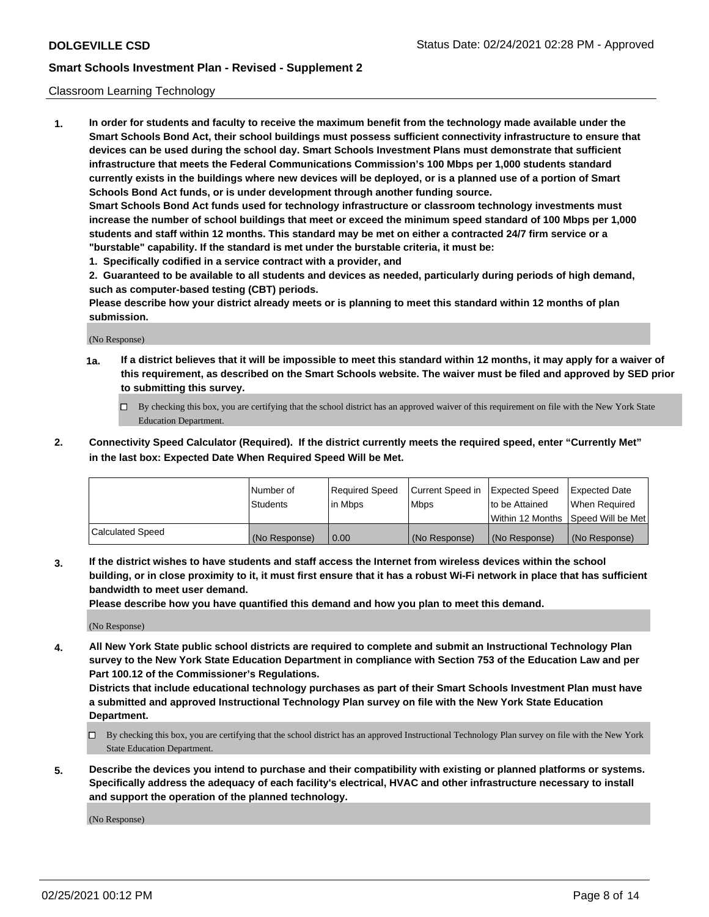### Classroom Learning Technology

**1. In order for students and faculty to receive the maximum benefit from the technology made available under the Smart Schools Bond Act, their school buildings must possess sufficient connectivity infrastructure to ensure that devices can be used during the school day. Smart Schools Investment Plans must demonstrate that sufficient infrastructure that meets the Federal Communications Commission's 100 Mbps per 1,000 students standard currently exists in the buildings where new devices will be deployed, or is a planned use of a portion of Smart Schools Bond Act funds, or is under development through another funding source. Smart Schools Bond Act funds used for technology infrastructure or classroom technology investments must increase the number of school buildings that meet or exceed the minimum speed standard of 100 Mbps per 1,000 students and staff within 12 months. This standard may be met on either a contracted 24/7 firm service or a**

**"burstable" capability. If the standard is met under the burstable criteria, it must be:**

**1. Specifically codified in a service contract with a provider, and**

**2. Guaranteed to be available to all students and devices as needed, particularly during periods of high demand, such as computer-based testing (CBT) periods.**

**Please describe how your district already meets or is planning to meet this standard within 12 months of plan submission.**

(No Response)

- **1a. If a district believes that it will be impossible to meet this standard within 12 months, it may apply for a waiver of this requirement, as described on the Smart Schools website. The waiver must be filed and approved by SED prior to submitting this survey.**
	- By checking this box, you are certifying that the school district has an approved waiver of this requirement on file with the New York State Education Department.
- **2. Connectivity Speed Calculator (Required). If the district currently meets the required speed, enter "Currently Met" in the last box: Expected Date When Required Speed Will be Met.**

|                  | l Number of     | Required Speed | Current Speed in | <b>Expected Speed</b> | <b>Expected Date</b>                |
|------------------|-----------------|----------------|------------------|-----------------------|-------------------------------------|
|                  | <b>Students</b> | l in Mbps      | l Mbps           | to be Attained        | When Required                       |
|                  |                 |                |                  |                       | Within 12 Months  Speed Will be Met |
| Calculated Speed | (No Response)   | 0.00           | (No Response)    | l (No Response)       | (No Response)                       |

**3. If the district wishes to have students and staff access the Internet from wireless devices within the school building, or in close proximity to it, it must first ensure that it has a robust Wi-Fi network in place that has sufficient bandwidth to meet user demand.**

**Please describe how you have quantified this demand and how you plan to meet this demand.**

(No Response)

**4. All New York State public school districts are required to complete and submit an Instructional Technology Plan survey to the New York State Education Department in compliance with Section 753 of the Education Law and per Part 100.12 of the Commissioner's Regulations.**

**Districts that include educational technology purchases as part of their Smart Schools Investment Plan must have a submitted and approved Instructional Technology Plan survey on file with the New York State Education Department.**

- By checking this box, you are certifying that the school district has an approved Instructional Technology Plan survey on file with the New York State Education Department.
- **5. Describe the devices you intend to purchase and their compatibility with existing or planned platforms or systems. Specifically address the adequacy of each facility's electrical, HVAC and other infrastructure necessary to install and support the operation of the planned technology.**

(No Response)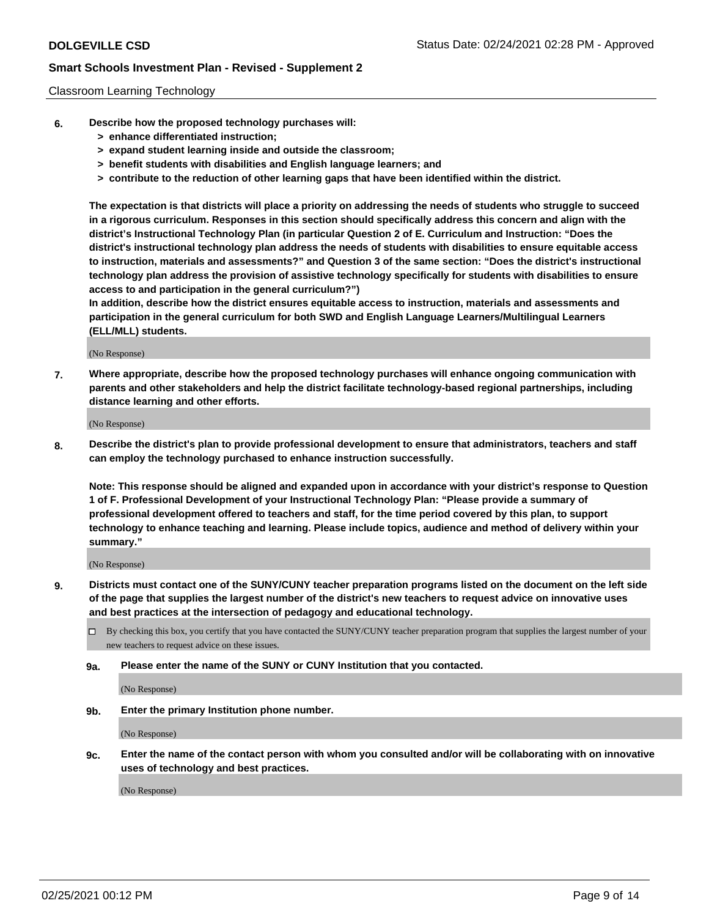### Classroom Learning Technology

- **6. Describe how the proposed technology purchases will:**
	- **> enhance differentiated instruction;**
	- **> expand student learning inside and outside the classroom;**
	- **> benefit students with disabilities and English language learners; and**
	- **> contribute to the reduction of other learning gaps that have been identified within the district.**

**The expectation is that districts will place a priority on addressing the needs of students who struggle to succeed in a rigorous curriculum. Responses in this section should specifically address this concern and align with the district's Instructional Technology Plan (in particular Question 2 of E. Curriculum and Instruction: "Does the district's instructional technology plan address the needs of students with disabilities to ensure equitable access to instruction, materials and assessments?" and Question 3 of the same section: "Does the district's instructional technology plan address the provision of assistive technology specifically for students with disabilities to ensure access to and participation in the general curriculum?")**

**In addition, describe how the district ensures equitable access to instruction, materials and assessments and participation in the general curriculum for both SWD and English Language Learners/Multilingual Learners (ELL/MLL) students.**

(No Response)

**7. Where appropriate, describe how the proposed technology purchases will enhance ongoing communication with parents and other stakeholders and help the district facilitate technology-based regional partnerships, including distance learning and other efforts.**

(No Response)

**8. Describe the district's plan to provide professional development to ensure that administrators, teachers and staff can employ the technology purchased to enhance instruction successfully.**

**Note: This response should be aligned and expanded upon in accordance with your district's response to Question 1 of F. Professional Development of your Instructional Technology Plan: "Please provide a summary of professional development offered to teachers and staff, for the time period covered by this plan, to support technology to enhance teaching and learning. Please include topics, audience and method of delivery within your summary."**

(No Response)

- **9. Districts must contact one of the SUNY/CUNY teacher preparation programs listed on the document on the left side of the page that supplies the largest number of the district's new teachers to request advice on innovative uses and best practices at the intersection of pedagogy and educational technology.**
	- By checking this box, you certify that you have contacted the SUNY/CUNY teacher preparation program that supplies the largest number of your new teachers to request advice on these issues.
	- **9a. Please enter the name of the SUNY or CUNY Institution that you contacted.**

(No Response)

**9b. Enter the primary Institution phone number.**

(No Response)

**9c. Enter the name of the contact person with whom you consulted and/or will be collaborating with on innovative uses of technology and best practices.**

(No Response)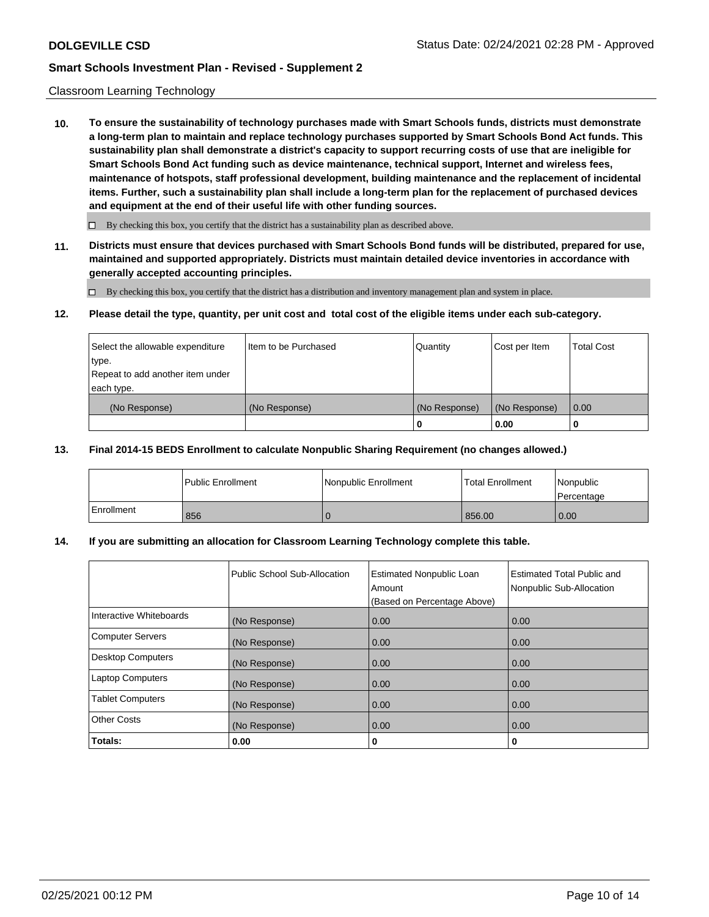### Classroom Learning Technology

**10. To ensure the sustainability of technology purchases made with Smart Schools funds, districts must demonstrate a long-term plan to maintain and replace technology purchases supported by Smart Schools Bond Act funds. This sustainability plan shall demonstrate a district's capacity to support recurring costs of use that are ineligible for Smart Schools Bond Act funding such as device maintenance, technical support, Internet and wireless fees, maintenance of hotspots, staff professional development, building maintenance and the replacement of incidental items. Further, such a sustainability plan shall include a long-term plan for the replacement of purchased devices and equipment at the end of their useful life with other funding sources.**

 $\Box$  By checking this box, you certify that the district has a sustainability plan as described above.

**11. Districts must ensure that devices purchased with Smart Schools Bond funds will be distributed, prepared for use, maintained and supported appropriately. Districts must maintain detailed device inventories in accordance with generally accepted accounting principles.**

By checking this box, you certify that the district has a distribution and inventory management plan and system in place.

### **12. Please detail the type, quantity, per unit cost and total cost of the eligible items under each sub-category.**

| Select the allowable expenditure<br>type.<br>Repeat to add another item under | Item to be Purchased | Quantity      | Cost per Item | <b>Total Cost</b> |
|-------------------------------------------------------------------------------|----------------------|---------------|---------------|-------------------|
| each type.<br>(No Response)                                                   | (No Response)        | (No Response) | (No Response) | 0.00              |
|                                                                               |                      | 0             | 0.00          |                   |

### **13. Final 2014-15 BEDS Enrollment to calculate Nonpublic Sharing Requirement (no changes allowed.)**

|              | l Public Enrollment | Nonpublic Enrollment | <b>Total Enrollment</b> | Nonpublic<br>l Percentage |
|--------------|---------------------|----------------------|-------------------------|---------------------------|
| l Enrollment | 856                 |                      | 856.00                  | 0.00                      |

### **14. If you are submitting an allocation for Classroom Learning Technology complete this table.**

|                         | Public School Sub-Allocation | <b>Estimated Nonpublic Loan</b><br>Amount<br>(Based on Percentage Above) | Estimated Total Public and<br>Nonpublic Sub-Allocation |
|-------------------------|------------------------------|--------------------------------------------------------------------------|--------------------------------------------------------|
| Interactive Whiteboards | (No Response)                | 0.00                                                                     | 0.00                                                   |
| Computer Servers        | (No Response)                | 0.00                                                                     | 0.00                                                   |
| Desktop Computers       | (No Response)                | 0.00                                                                     | 0.00                                                   |
| <b>Laptop Computers</b> | (No Response)                | 0.00                                                                     | 0.00                                                   |
| <b>Tablet Computers</b> | (No Response)                | 0.00                                                                     | 0.00                                                   |
| Other Costs             | (No Response)                | 0.00                                                                     | 0.00                                                   |
| Totals:                 | 0.00                         | 0                                                                        | 0                                                      |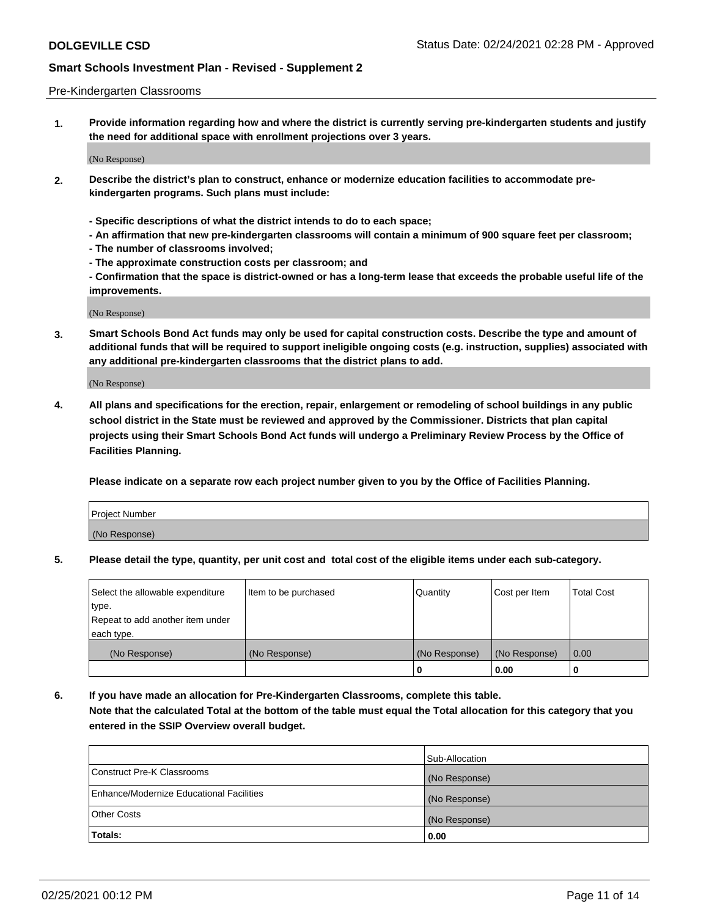### Pre-Kindergarten Classrooms

**1. Provide information regarding how and where the district is currently serving pre-kindergarten students and justify the need for additional space with enrollment projections over 3 years.**

(No Response)

- **2. Describe the district's plan to construct, enhance or modernize education facilities to accommodate prekindergarten programs. Such plans must include:**
	- **Specific descriptions of what the district intends to do to each space;**
	- **An affirmation that new pre-kindergarten classrooms will contain a minimum of 900 square feet per classroom;**
	- **The number of classrooms involved;**
	- **The approximate construction costs per classroom; and**
	- **Confirmation that the space is district-owned or has a long-term lease that exceeds the probable useful life of the improvements.**

(No Response)

**3. Smart Schools Bond Act funds may only be used for capital construction costs. Describe the type and amount of additional funds that will be required to support ineligible ongoing costs (e.g. instruction, supplies) associated with any additional pre-kindergarten classrooms that the district plans to add.**

(No Response)

**4. All plans and specifications for the erection, repair, enlargement or remodeling of school buildings in any public school district in the State must be reviewed and approved by the Commissioner. Districts that plan capital projects using their Smart Schools Bond Act funds will undergo a Preliminary Review Process by the Office of Facilities Planning.**

**Please indicate on a separate row each project number given to you by the Office of Facilities Planning.**

| Project Number |  |
|----------------|--|
| (No Response)  |  |
|                |  |

**5. Please detail the type, quantity, per unit cost and total cost of the eligible items under each sub-category.**

| Select the allowable expenditure | Item to be purchased | Quantity      | Cost per Item | <b>Total Cost</b> |
|----------------------------------|----------------------|---------------|---------------|-------------------|
| type.                            |                      |               |               |                   |
| Repeat to add another item under |                      |               |               |                   |
| each type.                       |                      |               |               |                   |
| (No Response)                    | (No Response)        | (No Response) | (No Response) | 0.00              |
|                                  |                      | υ             | 0.00          |                   |

**6. If you have made an allocation for Pre-Kindergarten Classrooms, complete this table. Note that the calculated Total at the bottom of the table must equal the Total allocation for this category that you entered in the SSIP Overview overall budget.**

|                                          | Sub-Allocation |
|------------------------------------------|----------------|
| Construct Pre-K Classrooms               | (No Response)  |
| Enhance/Modernize Educational Facilities | (No Response)  |
| <b>Other Costs</b>                       | (No Response)  |
| Totals:                                  | 0.00           |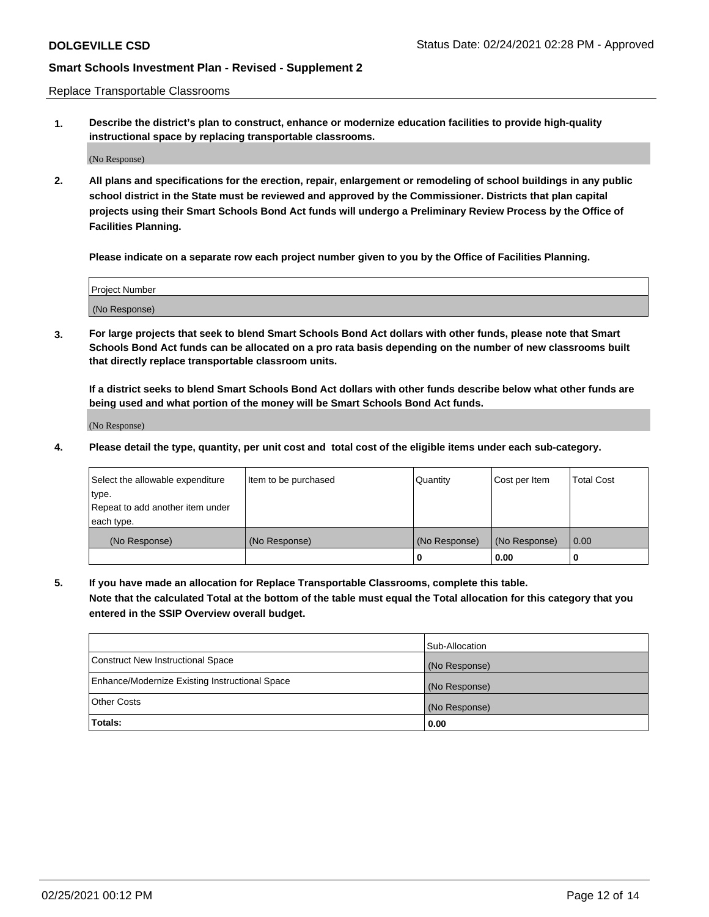Replace Transportable Classrooms

**1. Describe the district's plan to construct, enhance or modernize education facilities to provide high-quality instructional space by replacing transportable classrooms.**

(No Response)

**2. All plans and specifications for the erection, repair, enlargement or remodeling of school buildings in any public school district in the State must be reviewed and approved by the Commissioner. Districts that plan capital projects using their Smart Schools Bond Act funds will undergo a Preliminary Review Process by the Office of Facilities Planning.**

**Please indicate on a separate row each project number given to you by the Office of Facilities Planning.**

| Project Number |  |
|----------------|--|
|                |  |
|                |  |
|                |  |
|                |  |
| (No Response)  |  |
|                |  |
|                |  |
|                |  |

**3. For large projects that seek to blend Smart Schools Bond Act dollars with other funds, please note that Smart Schools Bond Act funds can be allocated on a pro rata basis depending on the number of new classrooms built that directly replace transportable classroom units.**

**If a district seeks to blend Smart Schools Bond Act dollars with other funds describe below what other funds are being used and what portion of the money will be Smart Schools Bond Act funds.**

(No Response)

**4. Please detail the type, quantity, per unit cost and total cost of the eligible items under each sub-category.**

| Select the allowable expenditure | Item to be purchased | Quantity      | Cost per Item | <b>Total Cost</b> |
|----------------------------------|----------------------|---------------|---------------|-------------------|
| ∣type.                           |                      |               |               |                   |
| Repeat to add another item under |                      |               |               |                   |
| each type.                       |                      |               |               |                   |
| (No Response)                    | (No Response)        | (No Response) | (No Response) | 0.00              |
|                                  |                      | 0             | 0.00          |                   |

**5. If you have made an allocation for Replace Transportable Classrooms, complete this table. Note that the calculated Total at the bottom of the table must equal the Total allocation for this category that you entered in the SSIP Overview overall budget.**

|                                                | Sub-Allocation |
|------------------------------------------------|----------------|
| Construct New Instructional Space              | (No Response)  |
| Enhance/Modernize Existing Instructional Space | (No Response)  |
| Other Costs                                    | (No Response)  |
| Totals:                                        | 0.00           |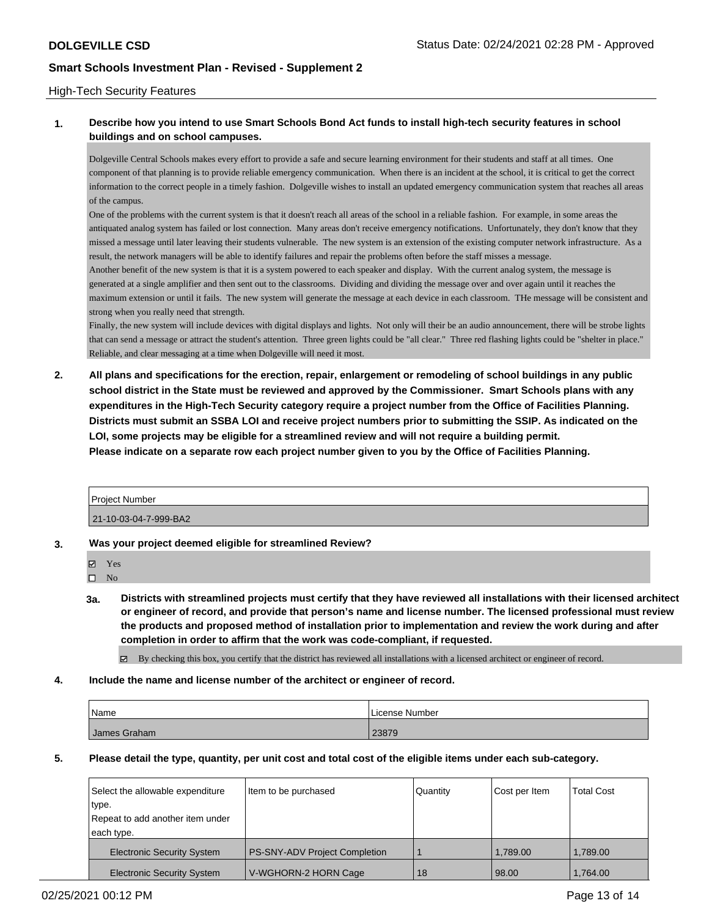### High-Tech Security Features

## **1. Describe how you intend to use Smart Schools Bond Act funds to install high-tech security features in school buildings and on school campuses.**

Dolgeville Central Schools makes every effort to provide a safe and secure learning environment for their students and staff at all times. One component of that planning is to provide reliable emergency communication. When there is an incident at the school, it is critical to get the correct information to the correct people in a timely fashion. Dolgeville wishes to install an updated emergency communication system that reaches all areas of the campus.

One of the problems with the current system is that it doesn't reach all areas of the school in a reliable fashion. For example, in some areas the antiquated analog system has failed or lost connection. Many areas don't receive emergency notifications. Unfortunately, they don't know that they missed a message until later leaving their students vulnerable. The new system is an extension of the existing computer network infrastructure. As a result, the network managers will be able to identify failures and repair the problems often before the staff misses a message.

Another benefit of the new system is that it is a system powered to each speaker and display. With the current analog system, the message is generated at a single amplifier and then sent out to the classrooms. Dividing and dividing the message over and over again until it reaches the maximum extension or until it fails. The new system will generate the message at each device in each classroom. THe message will be consistent and strong when you really need that strength.

Finally, the new system will include devices with digital displays and lights. Not only will their be an audio announcement, there will be strobe lights that can send a message or attract the student's attention. Three green lights could be "all clear." Three red flashing lights could be "shelter in place." Reliable, and clear messaging at a time when Dolgeville will need it most.

**2. All plans and specifications for the erection, repair, enlargement or remodeling of school buildings in any public school district in the State must be reviewed and approved by the Commissioner. Smart Schools plans with any expenditures in the High-Tech Security category require a project number from the Office of Facilities Planning. Districts must submit an SSBA LOI and receive project numbers prior to submitting the SSIP. As indicated on the LOI, some projects may be eligible for a streamlined review and will not require a building permit. Please indicate on a separate row each project number given to you by the Office of Facilities Planning.**

| <b>Project Number</b> |  |
|-----------------------|--|
| 21-10-03-04-7-999-BA2 |  |

### **3. Was your project deemed eligible for streamlined Review?**

| U | Y es |
|---|------|
|   |      |

- $\hfill \square$  No
- **3a. Districts with streamlined projects must certify that they have reviewed all installations with their licensed architect or engineer of record, and provide that person's name and license number. The licensed professional must review the products and proposed method of installation prior to implementation and review the work during and after completion in order to affirm that the work was code-compliant, if requested.**

By checking this box, you certify that the district has reviewed all installations with a licensed architect or engineer of record.

**4. Include the name and license number of the architect or engineer of record.**

| Name         | l License Number |
|--------------|------------------|
| James Graham | 23879            |

**5. Please detail the type, quantity, per unit cost and total cost of the eligible items under each sub-category.**

| Select the allowable expenditure  | Item to be purchased          | Quantity | Cost per Item | <b>Total Cost</b> |
|-----------------------------------|-------------------------------|----------|---------------|-------------------|
| type.                             |                               |          |               |                   |
| Repeat to add another item under  |                               |          |               |                   |
| each type.                        |                               |          |               |                   |
| <b>Electronic Security System</b> | PS-SNY-ADV Project Completion |          | 1.789.00      | 1,789.00          |
| <b>Electronic Security System</b> | V-WGHORN-2 HORN Cage          | 18       | 98.00         | 1,764.00          |